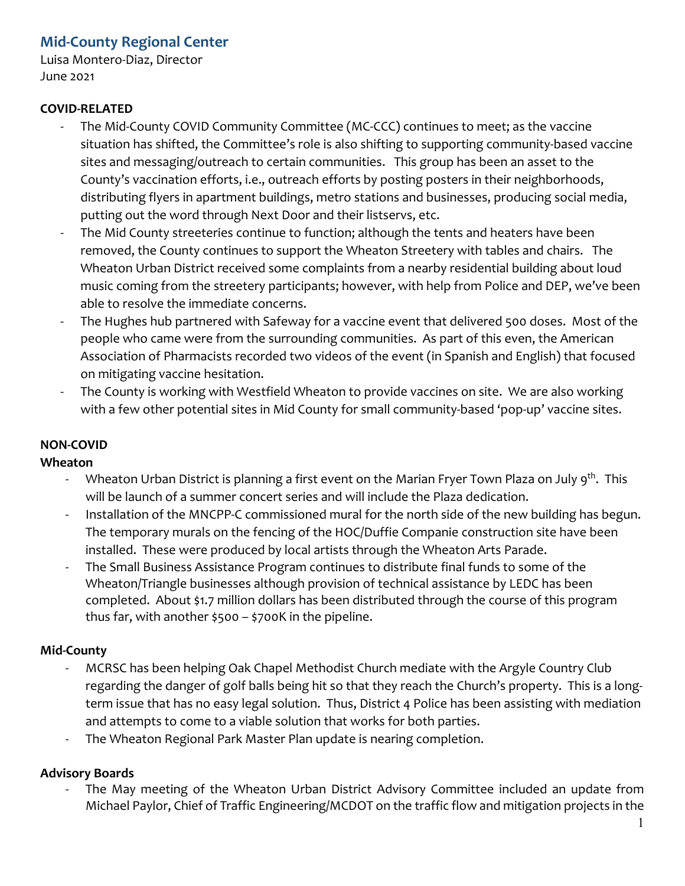# **Mid-County Regional Center**

Luisa Montero-Diaz, Director June 2021

# **COVID-RELATED**

- The Mid-County COVID Community Committee (MC-CCC) continues to meet; as the vaccine situation has shifted, the Committee's role is also shifting to supporting community-based vaccine sites and messaging/outreach to certain communities. This group has been an asset to the County's vaccination efforts, i.e., outreach efforts by posting posters in their neighborhoods, distributing flyers in apartment buildings, metro stations and businesses, producing social media, putting out the word through Next Door and their listservs, etc.
- The Mid County streeteries continue to function; although the tents and heaters have been removed, the County continues to support the Wheaton Streetery with tables and chairs. The Wheaton Urban District received some complaints from a nearby residential building about loud music coming from the streetery participants; however, with help from Police and DEP, we've been able to resolve the immediate concerns.
- The Hughes hub partnered with Safeway for a vaccine event that delivered 500 doses. Most of the people who came were from the surrounding communities. As part of this even, the American Association of Pharmacists recorded two videos of the event (in Spanish and English) that focused on mitigating vaccine hesitation.
- The County is working with Westfield Wheaton to provide vaccines on site. We are also working with a few other potential sites in Mid County for small community-based 'pop-up' vaccine sites.

# **NON-COVID**

#### **Wheaton**

- Wheaton Urban District is planning a first event on the Marian Fryer Town Plaza on July 9<sup>th</sup>. This will be launch of a summer concert series and will include the Plaza dedication.
- Installation of the MNCPP-C commissioned mural for the north side of the new building has begun. The temporary murals on the fencing of the HOC/Duffie Companie construction site have been installed. These were produced by local artists through the Wheaton Arts Parade.
- The Small Business Assistance Program continues to distribute final funds to some of the Wheaton/Triangle businesses although provision of technical assistance by LEDC has been completed. About \$1.7 million dollars has been distributed through the course of this program thus far, with another \$500 – \$700K in the pipeline.

# **Mid-County**

- MCRSC has been helping Oak Chapel Methodist Church mediate with the Argyle Country Club regarding the danger of golf balls being hit so that they reach the Church's property. This is a longterm issue that has no easy legal solution. Thus, District 4 Police has been assisting with mediation and attempts to come to a viable solution that works for both parties.
- The Wheaton Regional Park Master Plan update is nearing completion.

# **Advisory Boards**

The May meeting of the Wheaton Urban District Advisory Committee included an update from Michael Paylor, Chief of Traffic Engineering/MCDOT on the traffic flow and mitigation projects in the